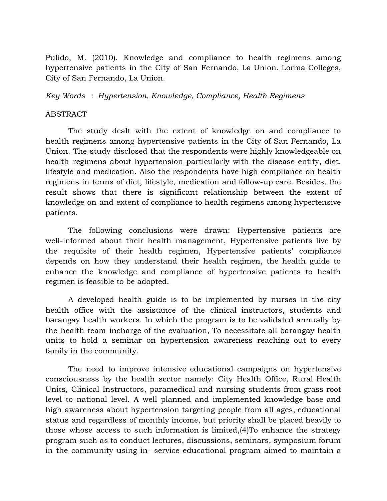Pulido, M. (2010). Knowledge and compliance to health regimens among hypertensive patients in the City of San Fernando, La Union. Lorma Colleges, City of San Fernando, La Union.

*Key Words : Hypertension, Knowledge, Compliance, Health Regimens*

## ABSTRACT

The study dealt with the extent of knowledge on and compliance to health regimens among hypertensive patients in the City of San Fernando, La Union. The study disclosed that the respondents were highly knowledgeable on health regimens about hypertension particularly with the disease entity, diet, lifestyle and medication. Also the respondents have high compliance on health regimens in terms of diet, lifestyle, medication and follow-up care. Besides, the result shows that there is significant relationship between the extent of knowledge on and extent of compliance to health regimens among hypertensive patients.

The following conclusions were drawn: Hypertensive patients are well-informed about their health management, Hypertensive patients live by the requisite of their health regimen, Hypertensive patients' compliance depends on how they understand their health regimen, the health guide to enhance the knowledge and compliance of hypertensive patients to health regimen is feasible to be adopted.

A developed health guide is to be implemented by nurses in the city health office with the assistance of the clinical instructors, students and barangay health workers. In which the program is to be validated annually by the health team incharge of the evaluation, To necessitate all barangay health units to hold a seminar on hypertension awareness reaching out to every family in the community.

The need to improve intensive educational campaigns on hypertensive consciousness by the health sector namely: City Health Office, Rural Health Units, Clinical Instructors, paramedical and nursing students from grass root level to national level. A well planned and implemented knowledge base and high awareness about hypertension targeting people from all ages, educational status and regardless of monthly income, but priority shall be placed heavily to those whose access to such information is limited,(4)To enhance the strategy program such as to conduct lectures, discussions, seminars, symposium forum in the community using in- service educational program aimed to maintain a